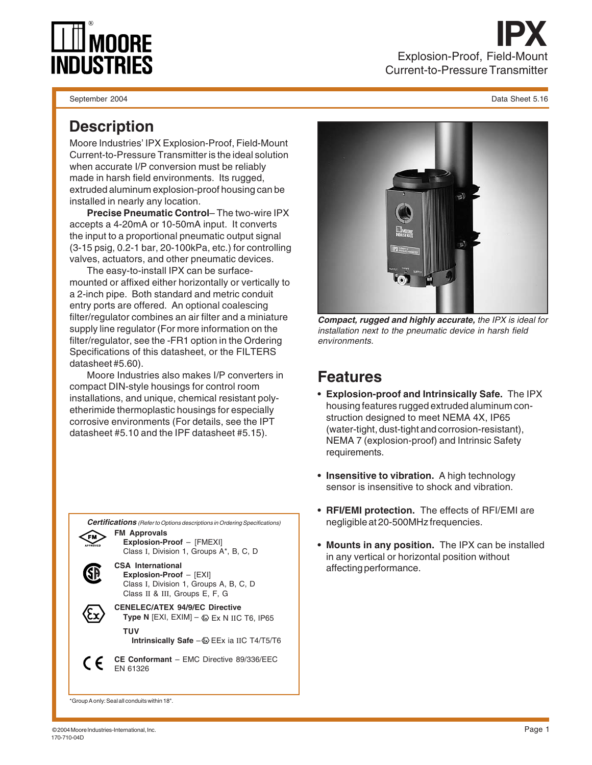

**IPX** Explosion-Proof, Field-Mount Current-to-Pressure Transmitter

September 2004 Data Sheet 5.16

## **Description**

Moore Industries' IPX Explosion-Proof, Field-Mount Current-to-Pressure Transmitter is the ideal solution when accurate I/P conversion must be reliably made in harsh field environments. Its rugged, extruded aluminum explosion-proof housing can be installed in nearly any location.

**Precise Pneumatic Control**– The two-wire IPX accepts a 4-20mA or 10-50mA input. It converts the input to a proportional pneumatic output signal (3-15 psig, 0.2-1 bar, 20-100kPa, etc.) for controlling valves, actuators, and other pneumatic devices.

The easy-to-install IPX can be surfacemounted or affixed either horizontally or vertically to a 2-inch pipe. Both standard and metric conduit entry ports are offered. An optional coalescing filter/regulator combines an air filter and a miniature supply line regulator (For more information on the filter/regulator, see the -FR1 option in the Ordering Specifications of this datasheet, or the FILTERS datasheet #5.60).

Moore Industries also makes I/P converters in compact DIN-style housings for control room installations, and unique, chemical resistant polyetherimide thermoplastic housings for especially corrosive environments (For details, see the IPT datasheet #5.10 and the IPF datasheet #5.15).





**Compact, rugged and highly accurate,** the IPX is ideal for installation next to the pneumatic device in harsh field environments.

## **Features**

- **Explosion-proof and Intrinsically Safe.** The IPX housing features rugged extruded aluminum construction designed to meet NEMA 4X, IP65 (water-tight, dust-tight and corrosion-resistant), NEMA 7 (explosion-proof) and Intrinsic Safety requirements.
- **Insensitive to vibration.** A high technology sensor is insensitive to shock and vibration.
- **RFI/EMI protection.** The effects of RFI/EMI are negligible at 20-500MHz frequencies.
- **Mounts in any position.** The IPX can be installed in any vertical or horizontal position without affecting performance.

\*Group A only: Seal all conduits within 18".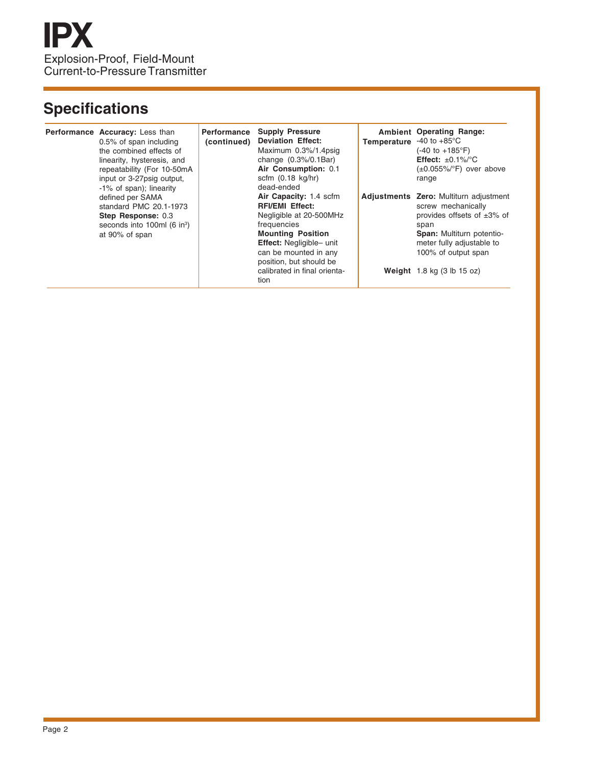## **Specifications**

| Performance Accuracy: Less than<br>0.5% of span including<br>the combined effects of<br>linearity, hysteresis, and<br>repeatability (For 10-50mA<br>input or 3-27psig output,<br>-1% of span); linearity | <b>Performance</b><br>(continued) | <b>Supply Pressure</b><br><b>Deviation Effect:</b><br>Maximum 0.3%/1.4psig<br>change $(0.3\%/0.1\text{Bar})$<br>Air Consumption: 0.1<br>scfm $(0.18 \text{ kg/hr})$<br>dead-ended                                                                     | <b>Temperature</b> $-40$ to $+85^{\circ}$ C | <b>Ambient Operating Range:</b><br>(-40 to +185°F)<br><b>Effect:</b> $\pm 0.1\%$ <sup>o</sup> C<br>$(\pm 0.055\%/^{\circ}F)$ over above<br>range                                                                                     |
|----------------------------------------------------------------------------------------------------------------------------------------------------------------------------------------------------------|-----------------------------------|-------------------------------------------------------------------------------------------------------------------------------------------------------------------------------------------------------------------------------------------------------|---------------------------------------------|--------------------------------------------------------------------------------------------------------------------------------------------------------------------------------------------------------------------------------------|
| defined per SAMA<br>standard PMC 20.1-1973<br>Step Response: 0.3<br>seconds into 100ml $(6 \text{ in}^3)$<br>at 90% of span                                                                              |                                   | Air Capacity: 1.4 scfm<br><b>RFI/EMI Effect:</b><br>Negligible at 20-500MHz<br>frequencies<br><b>Mounting Position</b><br><b>Effect:</b> Negligible- unit<br>can be mounted in any<br>position, but should be<br>calibrated in final orienta-<br>tion |                                             | Adjustments Zero: Multiturn adjustment<br>screw mechanically<br>provides offsets of $\pm 3\%$ of<br>span<br><b>Span:</b> Multiturn potentio-<br>meter fully adjustable to<br>100% of output span<br>Weight $1.8$ kg $(3$ lb $15$ oz) |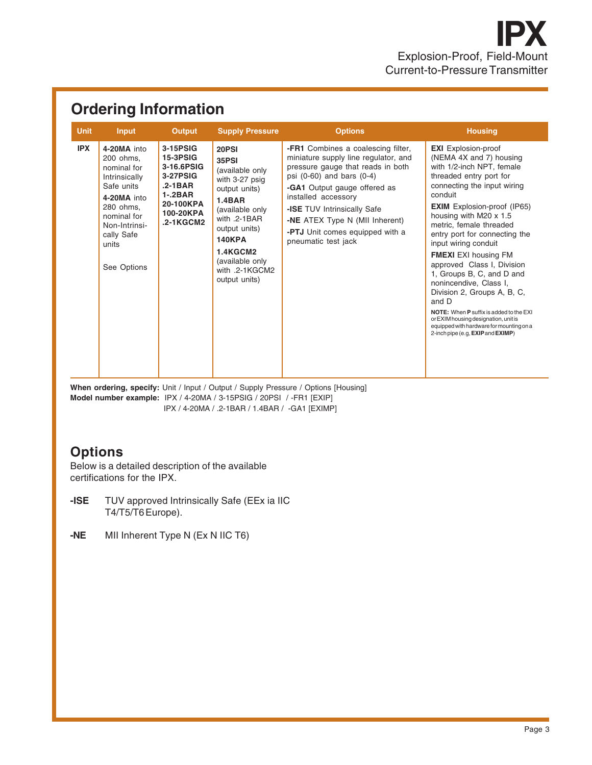| <b>Ordering Information</b> |                                                                                                                                                                          |                                                                                                                           |                                                                                                                                                                                                                              |                                                                                                                                                                                                                                                                                                                                              |                                                                                                                                                                                                                                                                                                                                                                                                                                                                                                                                                                                                                                                                  |  |  |  |  |
|-----------------------------|--------------------------------------------------------------------------------------------------------------------------------------------------------------------------|---------------------------------------------------------------------------------------------------------------------------|------------------------------------------------------------------------------------------------------------------------------------------------------------------------------------------------------------------------------|----------------------------------------------------------------------------------------------------------------------------------------------------------------------------------------------------------------------------------------------------------------------------------------------------------------------------------------------|------------------------------------------------------------------------------------------------------------------------------------------------------------------------------------------------------------------------------------------------------------------------------------------------------------------------------------------------------------------------------------------------------------------------------------------------------------------------------------------------------------------------------------------------------------------------------------------------------------------------------------------------------------------|--|--|--|--|
| <b>Unit</b>                 | <b>Input</b>                                                                                                                                                             | <b>Output</b>                                                                                                             | <b>Supply Pressure</b>                                                                                                                                                                                                       | <b>Options</b>                                                                                                                                                                                                                                                                                                                               | <b>Housing</b>                                                                                                                                                                                                                                                                                                                                                                                                                                                                                                                                                                                                                                                   |  |  |  |  |
| <b>IPX</b>                  | 4-20MA into<br>200 ohms.<br>nominal for<br>Intrinsically<br>Safe units<br>4-20MA into<br>280 ohms.<br>nominal for<br>Non-Intrinsi-<br>cally Safe<br>units<br>See Options | 3-15PSIG<br><b>15-3PSIG</b><br>3-16.6PSIG<br>3-27PSIG<br>$.2 - 1BAR$<br>$1 - 2BAR$<br>20-100KPA<br>100-20KPA<br>.2-1KGCM2 | 20PSI<br>35PSI<br>(available only<br>with 3-27 psig<br>output units)<br>1.4BAR<br>(available only<br>with .2-1BAR<br>output units)<br><b>140KPA</b><br><b>1.4KGCM2</b><br>(available only<br>with .2-1KGCM2<br>output units) | <b>-FR1</b> Combines a coalescing filter,<br>miniature supply line regulator, and<br>pressure gauge that reads in both<br>psi (0-60) and bars (0-4)<br><b>-GA1</b> Output gauge offered as<br>installed accessory<br>-ISE TUV Intrinsically Safe<br>-NE ATEX Type N (MII Inherent)<br>-PTJ Unit comes equipped with a<br>pneumatic test jack | <b>EXI</b> Explosion-proof<br>(NEMA 4X and 7) housing<br>with 1/2-inch NPT, female<br>threaded entry port for<br>connecting the input wiring<br>conduit<br><b>EXIM</b> Explosion-proof (IP65)<br>housing with M20 $\times$ 1.5<br>metric, female threaded<br>entry port for connecting the<br>input wiring conduit<br><b>FMEXI</b> EXI housing FM<br>approved Class I, Division<br>1, Groups B, C, and D and<br>nonincendive, Class I,<br>Division 2, Groups A, B, C,<br>and D<br><b>NOTE:</b> When <b>P</b> suffix is added to the EXI<br>or EXIM housing designation, unit is<br>equipped with hardware for mounting on a<br>2-inch pipe (e.g. EXIP and EXIMP) |  |  |  |  |

When ordering, specify: Unit / Input / Output / Supply Pressure / Options [Housing] **Model number example:** IPX / 4-20MA / 3-15PSIG / 20PSI / -FR1 [EXIP] IPX / 4-20MA / .2-1BAR / 1.4BAR / -GA1 [EXIMP]

## **Options**

Below is a detailed description of the available certifications for the IPX.

- **-ISE** TUV approved Intrinsically Safe (EEx ia IIC T4/T5/T6 Europe).
- **-NE** MII Inherent Type N (Ex N IIC T6)